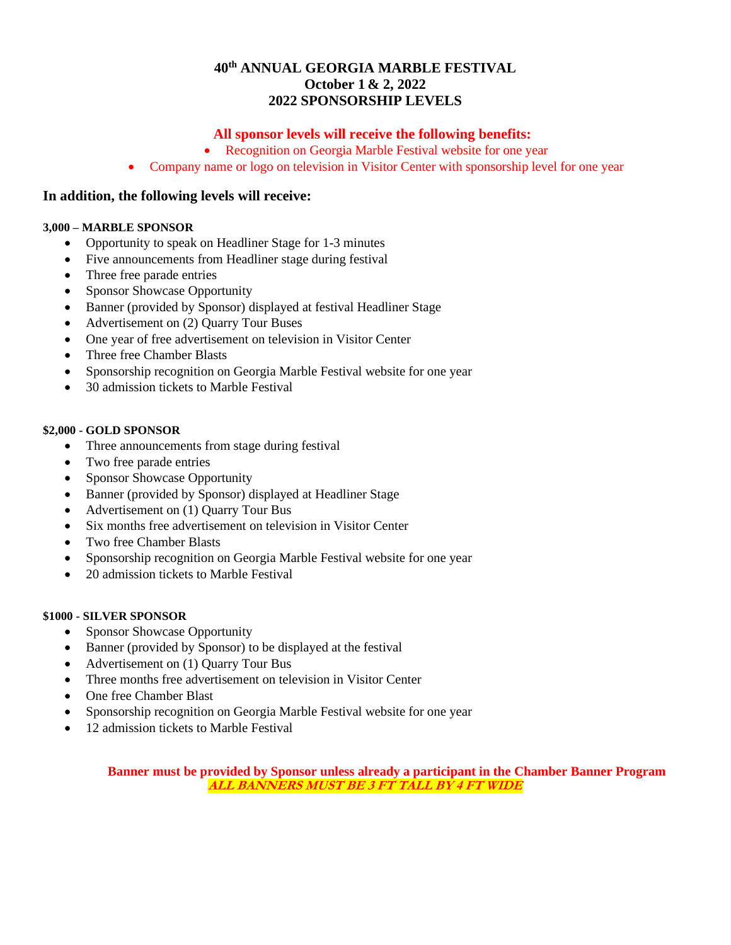# **40th ANNUAL GEORGIA MARBLE FESTIVAL October 1 & 2, 2022 2022 SPONSORSHIP LEVELS**

# **All sponsor levels will receive the following benefits:**

- Recognition on Georgia Marble Festival website for one year
- Company name or logo on television in Visitor Center with sponsorship level for one year

## **In addition, the following levels will receive:**

#### **3,000 – MARBLE SPONSOR**

- Opportunity to speak on Headliner Stage for 1-3 minutes
- Five announcements from Headliner stage during festival
- Three free parade entries
- Sponsor Showcase Opportunity
- Banner (provided by Sponsor) displayed at festival Headliner Stage
- Advertisement on (2) Quarry Tour Buses
- One year of free advertisement on television in Visitor Center
- Three free Chamber Blasts
- Sponsorship recognition on Georgia Marble Festival website for one year
- 30 admission tickets to Marble Festival

#### **\$2,000 - GOLD SPONSOR**

- Three announcements from stage during festival
- Two free parade entries
- Sponsor Showcase Opportunity
- Banner (provided by Sponsor) displayed at Headliner Stage
- Advertisement on (1) Quarry Tour Bus
- Six months free advertisement on television in Visitor Center
- Two free Chamber Blasts
- Sponsorship recognition on Georgia Marble Festival website for one year
- 20 admission tickets to Marble Festival

#### **\$1000 - SILVER SPONSOR**

- Sponsor Showcase Opportunity
- Banner (provided by Sponsor) to be displayed at the festival
- Advertisement on (1) Quarry Tour Bus
- Three months free advertisement on television in Visitor Center
- One free Chamber Blast
- Sponsorship recognition on Georgia Marble Festival website for one year
- 12 admission tickets to Marble Festival

**Banner must be provided by Sponsor unless already a participant in the Chamber Banner Program ALL BANNERS MUST BE 3 FT TALL BY 4 FT WIDE**